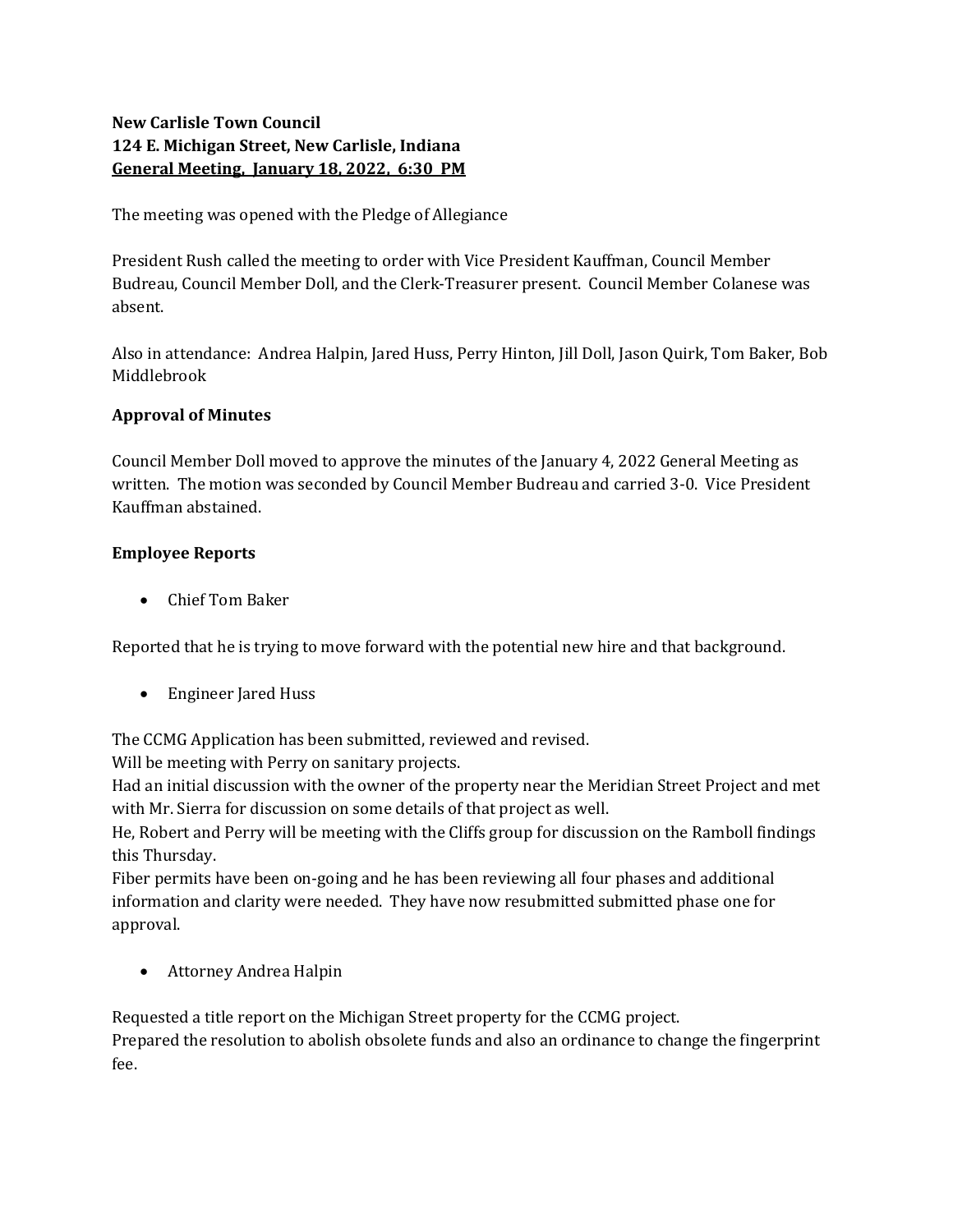# New Carlisle Town Council 124 E. Michigan Street, New Carlisle, Indiana General Meeting, January 18, 2022, 6:30 PM

The meeting was opened with the Pledge of Allegiance

President Rush called the meeting to order with Vice President Kauffman, Council Member Budreau, Council Member Doll, and the Clerk-Treasurer present. Council Member Colanese was absent.

Also in attendance: Andrea Halpin, Jared Huss, Perry Hinton, Jill Doll, Jason Quirk, Tom Baker, Bob Middlebrook

## Approval of Minutes

Council Member Doll moved to approve the minutes of the January 4, 2022 General Meeting as written. The motion was seconded by Council Member Budreau and carried 3-0. Vice President Kauffman abstained.

## Employee Reports

Chief Tom Baker

Reported that he is trying to move forward with the potential new hire and that background.

Engineer Jared Huss

The CCMG Application has been submitted, reviewed and revised.

Will be meeting with Perry on sanitary projects.

Had an initial discussion with the owner of the property near the Meridian Street Project and met with Mr. Sierra for discussion on some details of that project as well.

He, Robert and Perry will be meeting with the Cliffs group for discussion on the Ramboll findings this Thursday.

Fiber permits have been on-going and he has been reviewing all four phases and additional information and clarity were needed. They have now resubmitted submitted phase one for approval.

Attorney Andrea Halpin

Requested a title report on the Michigan Street property for the CCMG project. Prepared the resolution to abolish obsolete funds and also an ordinance to change the fingerprint fee.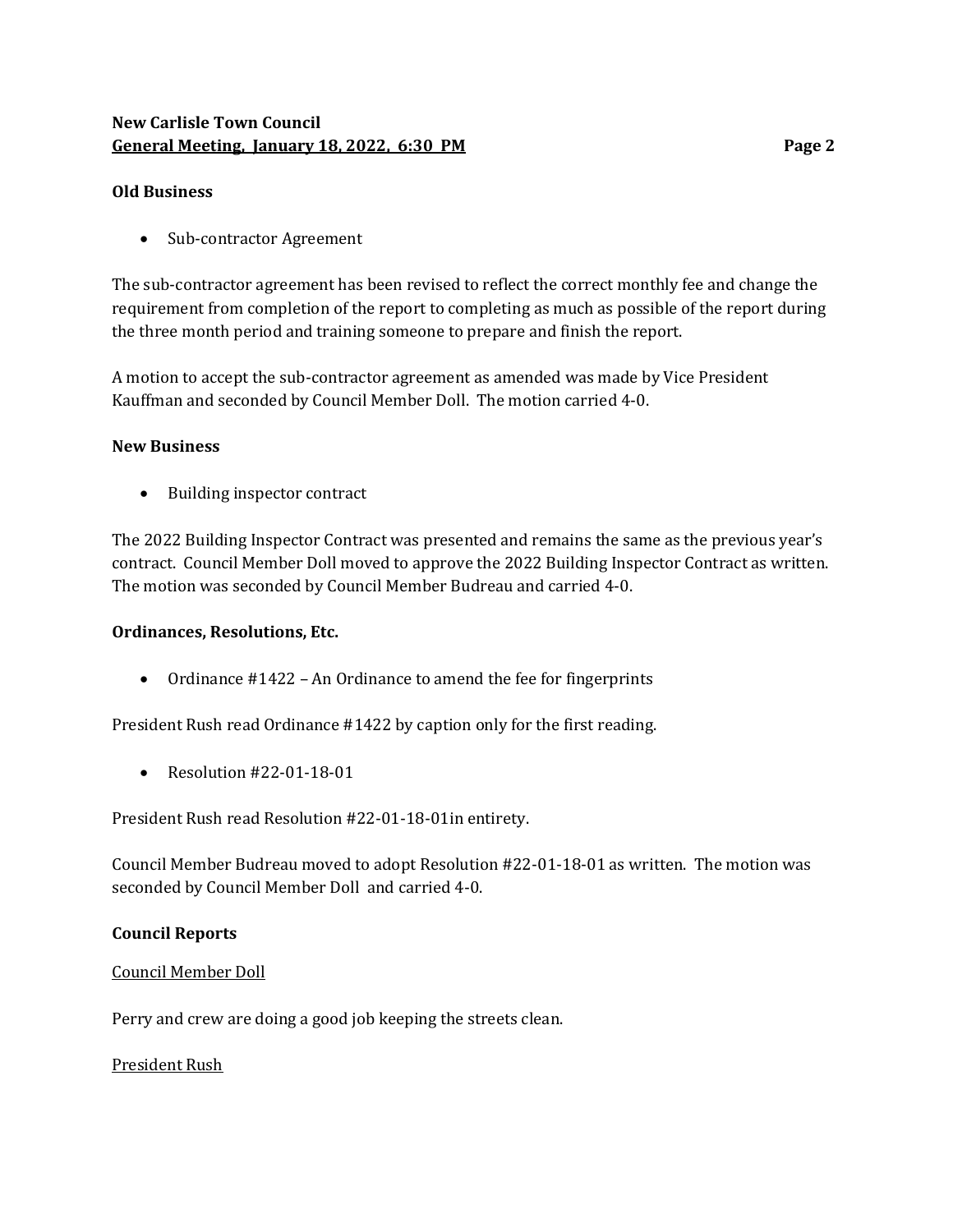## New Carlisle Town Council General Meeting, January 18, 2022, 6:30 PM

### Old Business

• Sub-contractor Agreement

The sub-contractor agreement has been revised to reflect the correct monthly fee and change the requirement from completion of the report to completing as much as possible of the report during the three month period and training someone to prepare and finish the report.

A motion to accept the sub-contractor agreement as amended was made by Vice President Kauffman and seconded by Council Member Doll. The motion carried 4-0.

### New Business

• Building inspector contract

The 2022 Building Inspector Contract was presented and remains the same as the previous year's contract. Council Member Doll moved to approve the 2022 Building Inspector Contract as written. The motion was seconded by Council Member Budreau and carried 4-0.

#### Ordinances, Resolutions, Etc.

• Ordinance #1422 – An Ordinance to amend the fee for fingerprints

President Rush read Ordinance #1422 by caption only for the first reading.

 $\bullet$  Resolution #22-01-18-01

President Rush read Resolution #22-01-18-01in entirety.

Council Member Budreau moved to adopt Resolution #22-01-18-01 as written. The motion was seconded by Council Member Doll and carried 4-0.

#### Council Reports

#### Council Member Doll

Perry and crew are doing a good job keeping the streets clean.

#### President Rush